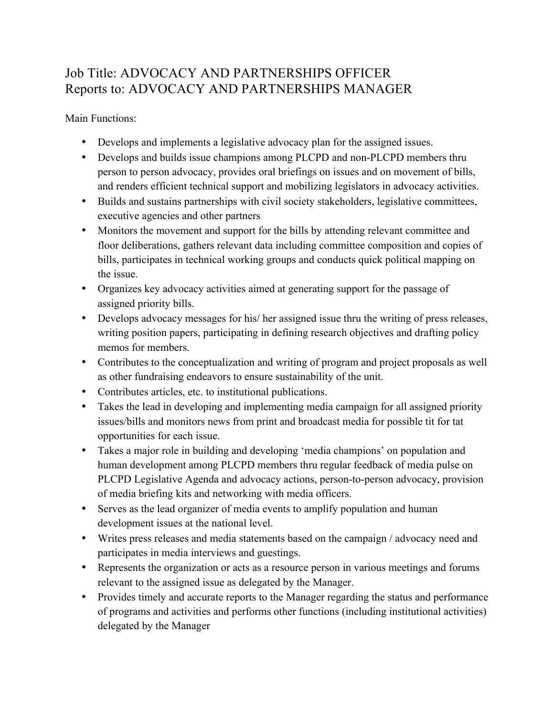## Job Title: ADVOCACY AND PARTNERSHIPS OFFICER Reports to: ADVOCACY AND PARTNERSHIPS MANAGER

Main Functions:

- Develops and implements a legislative advocacy plan for the assigned issues.
- Develops and builds issue champions among PLCPD and non-PLCPD members thru person to person advocacy, provides oral briefings on issues and on movement of bills, and renders efficient technical support and mobilizing legislators in advocacy activities.
- Builds and sustains partnerships with civil society stakeholders, legislative committees, executive agencies and other partners
- Monitors the movement and support for the bills by attending relevant committee and floor deliberations, gathers relevant data including committee composition and copies of bills, participates in technical working groups and conducts quick political mapping on the issue.
- Organizes key advocacy activities aimed at generating support for the passage of assigned priority bills.
- Develops advocacy messages for his/ her assigned issue thru the writing of press releases, writing position papers, participating in defining research objectives and drafting policy memos for members.
- Contributes to the conceptualization and writing of program and project proposals as well as other fundraising endeavors to ensure sustainability of the unit.
- Contributes articles, etc. to institutional publications.
- Takes the lead in developing and implementing media campaign for all assigned priority issues/bills and monitors news from print and broadcast media for possible tit for tat opportunities for each issue.
- Takes a major role in building and developing 'media champions' on population and human development among PLCPD members thru regular feedback of media pulse on PLCPD Legislative Agenda and advocacy actions, person-to-person advocacy, provision of media briefing kits and networking with media officers.
- Serves as the lead organizer of media events to amplify population and human development issues at the national level.
- Writes press releases and media statements based on the campaign / advocacy need and participates in media interviews and guestings.
- Represents the organization or acts as a resource person in various meetings and forums relevant to the assigned issue as delegated by the Manager.
- Provides timely and accurate reports to the Manager regarding the status and performance of programs and activities and performs other functions (including institutional activities) delegated by the Manager